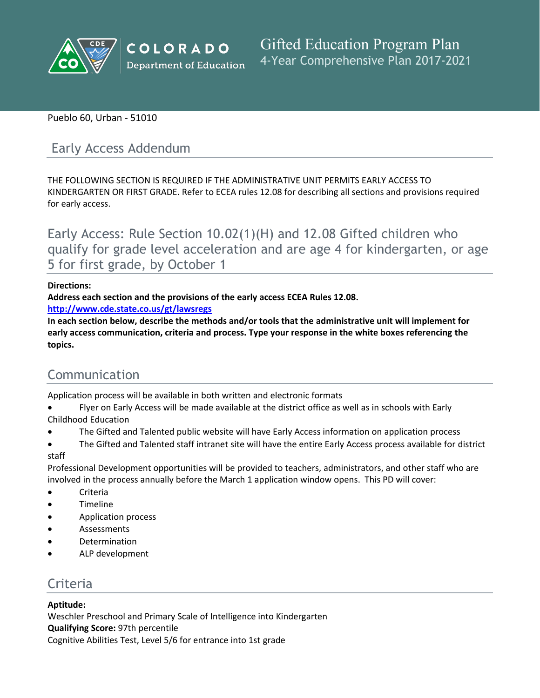

# Pueblo 60, Urban - 51010

# Early Access Addendum

THE FOLLOWING SECTION IS REQUIRED IF THE ADMINISTRATIVE UNIT PERMITS EARLY ACCESS TO KINDERGARTEN OR FIRST GRADE. Refer to ECEA rules 12.08 for describing all sections and provisions required for early access.

Early Access: Rule Section 10.02(1)(H) and 12.08 Gifted children who qualify for grade level acceleration and are age 4 for kindergarten, or age 5 for first grade, by October 1

# **Directions:**

**Address each section and the provisions of the early access ECEA Rules 12.08.**

**<http://www.cde.state.co.us/gt/lawsregs>**

**In each section below, describe the methods and/or tools that the administrative unit will implement for early access communication, criteria and process. Type your response in the white boxes referencing the topics.**

# Communication

Application process will be available in both written and electronic formats

- Flyer on Early Access will be made available at the district office as well as in schools with Early
- Childhood Education
- The Gifted and Talented public website will have Early Access information on application process
- The Gifted and Talented staff intranet site will have the entire Early Access process available for district staff

Professional Development opportunities will be provided to teachers, administrators, and other staff who are involved in the process annually before the March 1 application window opens. This PD will cover:

- Criteria
- Timeline
- Application process
- Assessments
- Determination
- ALP development

# Criteria

# **Aptitude:**

Weschler Preschool and Primary Scale of Intelligence into Kindergarten **Qualifying Score:** 97th percentile Cognitive Abilities Test, Level 5/6 for entrance into 1st grade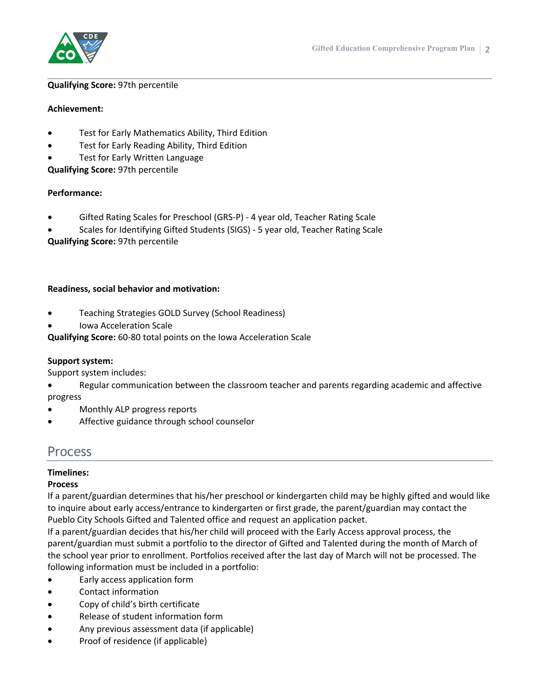

#### **Qualifying Score:** 97th percentile

#### **Achievement:**

- Test for Early Mathematics Ability, Third Edition
- Test for Early Reading Ability, Third Edition
- Test for Early Written Language

**Qualifying Score:** 97th percentile

# **Performance:**

- Gifted Rating Scales for Preschool (GRS-P) 4 year old, Teacher Rating Scale
- Scales for Identifying Gifted Students (SIGS) 5 year old, Teacher Rating Scale

**Qualifying Score:** 97th percentile

# **Readiness, social behavior and motivation:**

- Teaching Strategies GOLD Survey (School Readiness)
- Iowa Acceleration Scale

**Qualifying Score:** 60-80 total points on the Iowa Acceleration Scale

# **Support system:**

Support system includes:

- Regular communication between the classroom teacher and parents regarding academic and affective progress
- Monthly ALP progress reports
- Affective guidance through school counselor

# Process

# **Timelines:**

# **Process**

If a parent/guardian determines that his/her preschool or kindergarten child may be highly gifted and would like to inquire about early access/entrance to kindergarten or first grade, the parent/guardian may contact the Pueblo City Schools Gifted and Talented office and request an application packet.

If a parent/guardian decides that his/her child will proceed with the Early Access approval process, the parent/guardian must submit a portfolio to the director of Gifted and Talented during the month of March of the school year prior to enrollment. Portfolios received after the last day of March will not be processed. The following information must be included in a portfolio:

- Early access application form
- Contact information
- Copy of child's birth certificate
- Release of student information form
- Any previous assessment data (if applicable)
- Proof of residence (if applicable)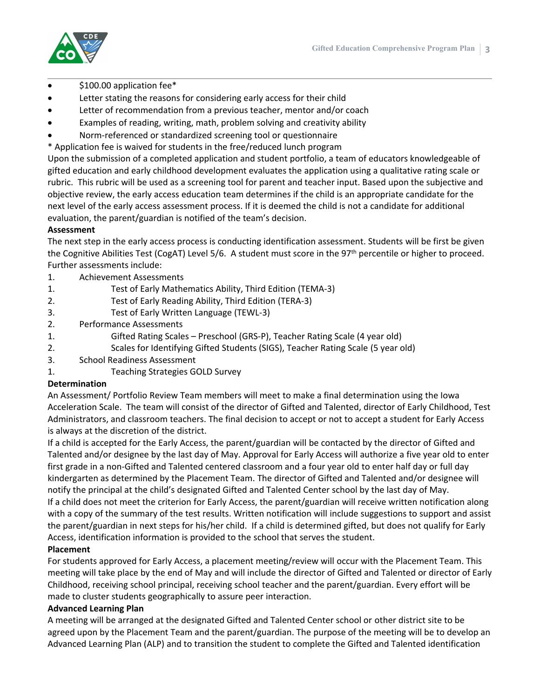

- \$100.00 application fee\*
- Letter stating the reasons for considering early access for their child
- Letter of recommendation from a previous teacher, mentor and/or coach
- Examples of reading, writing, math, problem solving and creativity ability
- Norm-referenced or standardized screening tool or questionnaire
- \* Application fee is waived for students in the free/reduced lunch program

Upon the submission of a completed application and student portfolio, a team of educators knowledgeable of gifted education and early childhood development evaluates the application using a qualitative rating scale or rubric. This rubric will be used as a screening tool for parent and teacher input. Based upon the subjective and objective review, the early access education team determines if the child is an appropriate candidate for the next level of the early access assessment process. If it is deemed the child is not a candidate for additional evaluation, the parent/guardian is notified of the team's decision.

#### **Assessment**

The next step in the early access process is conducting identification assessment. Students will be first be given the Cognitive Abilities Test (CogAT) Level 5/6. A student must score in the 97<sup>th</sup> percentile or higher to proceed. Further assessments include:

- 1. Achievement Assessments
- 1. Test of Early Mathematics Ability, Third Edition (TEMA-3)
- 2. Test of Early Reading Ability, Third Edition (TERA-3)
- 3. Test of Early Written Language (TEWL-3)
- 2. Performance Assessments
- 1. Gifted Rating Scales Preschool (GRS-P), Teacher Rating Scale (4 year old)
- 2. Scales for Identifying Gifted Students (SIGS), Teacher Rating Scale (5 year old)
- 3. School Readiness Assessment
- 1. Teaching Strategies GOLD Survey

#### **Determination**

An Assessment/ Portfolio Review Team members will meet to make a final determination using the Iowa Acceleration Scale. The team will consist of the director of Gifted and Talented, director of Early Childhood, Test Administrators, and classroom teachers. The final decision to accept or not to accept a student for Early Access is always at the discretion of the district.

If a child is accepted for the Early Access, the parent/guardian will be contacted by the director of Gifted and Talented and/or designee by the last day of May. Approval for Early Access will authorize a five year old to enter first grade in a non-Gifted and Talented centered classroom and a four year old to enter half day or full day kindergarten as determined by the Placement Team. The director of Gifted and Talented and/or designee will notify the principal at the child's designated Gifted and Talented Center school by the last day of May. If a child does not meet the criterion for Early Access, the parent/guardian will receive written notification along with a copy of the summary of the test results. Written notification will include suggestions to support and assist the parent/guardian in next steps for his/her child. If a child is determined gifted, but does not qualify for Early Access, identification information is provided to the school that serves the student.

#### **Placement**

For students approved for Early Access, a placement meeting/review will occur with the Placement Team. This meeting will take place by the end of May and will include the director of Gifted and Talented or director of Early Childhood, receiving school principal, receiving school teacher and the parent/guardian. Every effort will be made to cluster students geographically to assure peer interaction.

#### **Advanced Learning Plan**

A meeting will be arranged at the designated Gifted and Talented Center school or other district site to be agreed upon by the Placement Team and the parent/guardian. The purpose of the meeting will be to develop an Advanced Learning Plan (ALP) and to transition the student to complete the Gifted and Talented identification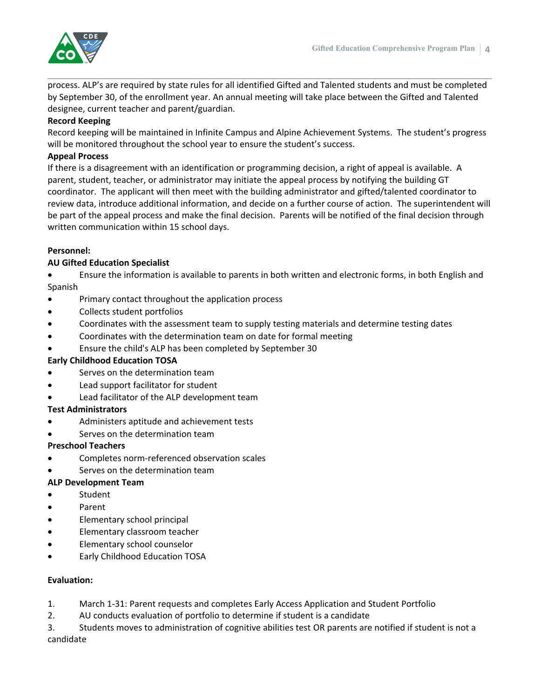

process. ALP's are required by state rules for all identified Gifted and Talented students and must be completed by September 30, of the enrollment year. An annual meeting will take place between the Gifted and Talented designee, current teacher and parent/guardian.

# **Record Keeping**

Record keeping will be maintained in Infinite Campus and Alpine Achievement Systems. The student's progress will be monitored throughout the school year to ensure the student's success.

# **Appeal Process**

If there is a disagreement with an identification or programming decision, a right of appeal is available. A parent, student, teacher, or administrator may initiate the appeal process by notifying the building GT coordinator. The applicant will then meet with the building administrator and gifted/talented coordinator to review data, introduce additional information, and decide on a further course of action. The superintendent will be part of the appeal process and make the final decision. Parents will be notified of the final decision through written communication within 15 school days.

# **Personnel:**

# **AU Gifted Education Specialist**

 Ensure the information is available to parents in both written and electronic forms, in both English and Spanish

- Primary contact throughout the application process
- Collects student portfolios
- Coordinates with the assessment team to supply testing materials and determine testing dates
- Coordinates with the determination team on date for formal meeting
- Ensure the child's ALP has been completed by September 30

#### **Early Childhood Education TOSA**

- Serves on the determination team
- Lead support facilitator for student
- Lead facilitator of the ALP development team

#### **Test Administrators**

- Administers aptitude and achievement tests
- Serves on the determination team

#### **Preschool Teachers**

- Completes norm-referenced observation scales
- Serves on the determination team

#### **ALP Development Team**

- Student
- Parent
- Elementary school principal
- Elementary classroom teacher
- Elementary school counselor
- Early Childhood Education TOSA

#### **Evaluation:**

- 1. March 1-31: Parent requests and completes Early Access Application and Student Portfolio
- 2. AU conducts evaluation of portfolio to determine if student is a candidate

3. Students moves to administration of cognitive abilities test OR parents are notified if student is not a candidate